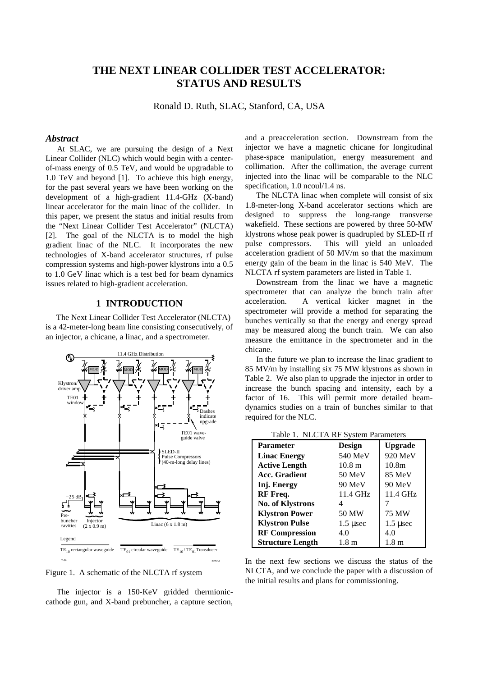# **THE NEXT LINEAR COLLIDER TEST ACCELERATOR: STATUS AND RESULTS**

Ronald D. Ruth, SLAC, Stanford, CA, USA

## *Abstract*

At SLAC, we are pursuing the design of a Next Linear Collider (NLC) which would begin with a centerof-mass energy of 0.5 TeV, and would be upgradable to 1.0 TeV and beyond [1]. To achieve this high energy, for the past several years we have been working on the development of a high-gradient 11.4-GHz (X-band) linear accelerator for the main linac of the collider. In this paper, we present the status and initial results from the "Next Linear Collider Test Accelerator" (NLCTA) [2]. The goal of the NLCTA is to model the high gradient linac of the NLC. It incorporates the new technologies of X-band accelerator structures, rf pulse compression systems and high-power klystrons into a 0.5 to 1.0 GeV linac which is a test bed for beam dynamics issues related to high-gradient acceleration.

# **1 INTRODUCTION**

The Next Linear Collider Test Accelerator (NLCTA) is a 42-meter-long beam line consisting consecutively, of an injector, a chicane, a linac, and a spectrometer.



Figure 1. A schematic of the NLCTA rf system

The injector is a 150-KeV gridded thermioniccathode gun, and X-band prebuncher, a capture section, and a preacceleration section. Downstream from the injector we have a magnetic chicane for longitudinal phase-space manipulation, energy measurement and collimation. After the collimation, the average current injected into the linac will be comparable to the NLC specification, 1.0 ncoul/1.4 ns.

The NLCTA linac when complete will consist of six 1.8-meter-long X-band accelerator sections which are designed to suppress the long-range transverse wakefield. These sections are powered by three 50-MW klystrons whose peak power is quadrupled by SLED-II rf pulse compressors. This will yield an unloaded acceleration gradient of 50 MV/m so that the maximum energy gain of the beam in the linac is 540 MeV. The NLCTA rf system parameters are listed in Table 1.

Downstream from the linac we have a magnetic spectrometer that can analyze the bunch train after acceleration. A vertical kicker magnet in the spectrometer will provide a method for separating the bunches vertically so that the energy and energy spread may be measured along the bunch train. We can also measure the emittance in the spectrometer and in the chicane.

In the future we plan to increase the linac gradient to 85 MV/m by installing six 75 MW klystrons as shown in Table 2. We also plan to upgrade the injector in order to increase the bunch spacing and intensity, each by a factor of 16. This will permit more detailed beamdynamics studies on a train of bunches similar to that required for the NLC.

Table 1. NLCTA RF System Parameters

| $1.0010$ 1. $1.00011110$ b $1.0001111$ aramieity |                   |                   |
|--------------------------------------------------|-------------------|-------------------|
| <b>Parameter</b>                                 | <b>Design</b>     | <b>Upgrade</b>    |
| <b>Linac Energy</b>                              | 540 MeV           | 920 MeV           |
| <b>Active Length</b>                             | 10.8 <sub>m</sub> | 10.8 <sub>m</sub> |
| <b>Acc. Gradient</b>                             | $50$ MeV          | 85 MeV            |
| Inj. Energy                                      | 90 MeV            | 90 MeV            |
| RF Freq.                                         | 11.4 GHz          | 11.4 GHz          |
| <b>No. of Klystrons</b>                          |                   |                   |
| <b>Klystron Power</b>                            | 50 MW             | 75 MW             |
| <b>Klystron Pulse</b>                            | $1.5 \mu$ sec     | $1.5 \mu$ sec     |
| <b>RF Compression</b>                            | 4.0               | 4.0               |
| <b>Structure Length</b>                          | $1.8 \text{ m}$   | 1.8 <sub>m</sub>  |

In the next few sections we discuss the status of the NLCTA, and we conclude the paper with a discussion of the initial results and plans for commissioning.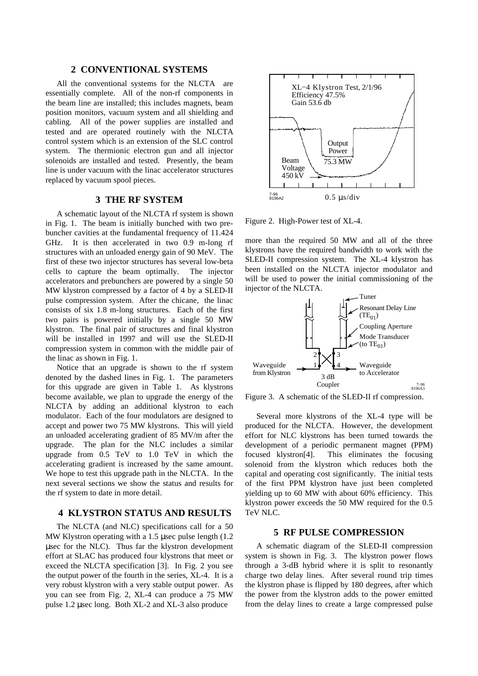# **2 CONVENTIONAL SYSTEMS**

All the conventional systems for the NLCTA are essentially complete. All of the non-rf components in the beam line are installed; this includes magnets, beam position monitors, vacuum system and all shielding and cabling. All of the power supplies are installed and tested and are operated routinely with the NLCTA control system which is an extension of the SLC control system. The thermionic electron gun and all injector solenoids are installed and tested. Presently, the beam line is under vacuum with the linac accelerator structures replaced by vacuum spool pieces.

## **3 THE RF SYSTEM**

A schematic layout of the NLCTA rf system is shown in Fig. 1. The beam is initially bunched with two prebuncher cavities at the fundamental frequency of 11.424 GHz. It is then accelerated in two 0.9 m-long rf structures with an unloaded energy gain of 90 MeV. The first of these two injector structures has several low-beta cells to capture the beam optimally. The injector accelerators and prebunchers are powered by a single 50 MW klystron compressed by a factor of 4 by a SLED-II pulse compression system. After the chicane, the linac consists of six 1.8 m-long structures. Each of the first two pairs is powered initially by a single 50 MW klystron. The final pair of structures and final klystron will be installed in 1997 and will use the SLED-II compression system in common with the middle pair of the linac as shown in Fig. 1.

Notice that an upgrade is shown to the rf system denoted by the dashed lines in Fig. 1. The parameters for this upgrade are given in Table 1. As klystrons become available, we plan to upgrade the energy of the NLCTA by adding an additional klystron to each modulator. Each of the four modulators are designed to accept and power two 75 MW klystrons. This will yield an unloaded accelerating gradient of 85 MV/m after the upgrade. The plan for the NLC includes a similar upgrade from 0.5 TeV to 1.0 TeV in which the accelerating gradient is increased by the same amount. We hope to test this upgrade path in the NLCTA. In the next several sections we show the status and results for the rf system to date in more detail.

#### **4 KLYSTRON STATUS AND RESULTS**

The NLCTA (and NLC) specifications call for a 50 MW Klystron operating with a 1.5 µsec pulse length (1.2) µsec for the NLC). Thus far the klystron development effort at SLAC has produced four klystrons that meet or exceed the NLCTA specification [3]. In Fig. 2 you see the output power of the fourth in the series, XL-4. It is a very robust klystron with a very stable output power. As you can see from Fig. 2, XL-4 can produce a 75 MW pulse 1.2 µsec long. Both XL-2 and XL-3 also produce



Figure 2. High-Power test of XL-4.

more than the required 50 MW and all of the three klystrons have the required bandwidth to work with the SLED-II compression system. The XL-4 klystron has been installed on the NLCTA injector modulator and will be used to power the initial commissioning of the injector of the NLCTA.



Figure 3. A schematic of the SLED-II rf compression.

Several more klystrons of the XL-4 type will be produced for the NLCTA. However, the development effort for NLC klystrons has been turned towards the development of a periodic permanent magnet (PPM) focused klystron[4]. This eliminates the focusing solenoid from the klystron which reduces both the capital and operating cost significantly. The initial tests of the first PPM klystron have just been completed yielding up to 60 MW with about 60% efficiency. This klystron power exceeds the 50 MW required for the 0.5 TeV NLC.

#### **5 RF PULSE COMPRESSION**

A schematic diagram of the SLED-II compression system is shown in Fig. 3. The klystron power flows through a 3-dB hybrid where it is split to resonantly charge two delay lines. After several round trip times the klystron phase is flipped by 180 degrees, after which the power from the klystron adds to the power emitted from the delay lines to create a large compressed pulse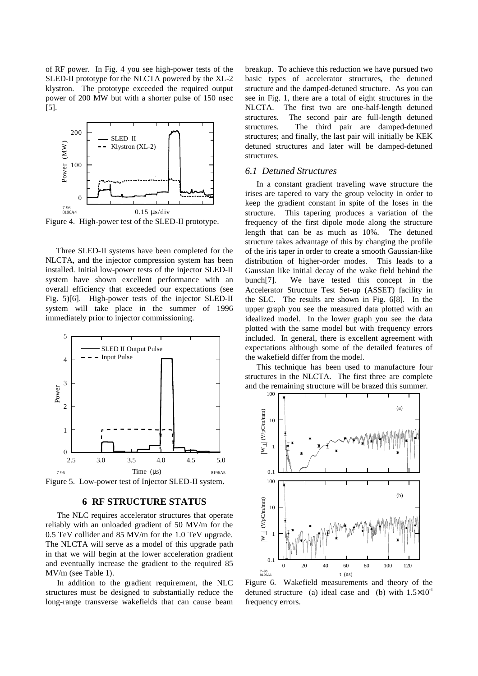of RF power. In Fig. 4 you see high-power tests of the SLED-II prototype for the NLCTA powered by the XL-2 klystron. The prototype exceeded the required output power of 200 MW but with a shorter pulse of 150 nsec [5].



Figure 4. High-power test of the SLED-II prototype.

Three SLED-II systems have been completed for the NLCTA, and the injector compression system has been installed. Initial low-power tests of the injector SLED-II system have shown excellent performance with an overall efficiency that exceeded our expectations (see Fig. 5)[6]. High-power tests of the injector SLED-II system will take place in the summer of 1996 immediately prior to injector commissioning.



Figure 5. Low-power test of Injector SLED-II system.

#### **6 RF STRUCTURE STATUS**

The NLC requires accelerator structures that operate reliably with an unloaded gradient of 50 MV/m for the 0.5 TeV collider and 85 MV/m for the 1.0 TeV upgrade. The NLCTA will serve as a model of this upgrade path in that we will begin at the lower acceleration gradient and eventually increase the gradient to the required 85 MV/m (see Table 1).

In addition to the gradient requirement, the NLC structures must be designed to substantially reduce the long-range transverse wakefields that can cause beam breakup. To achieve this reduction we have pursued two basic types of accelerator structures, the detuned structure and the damped-detuned structure. As you can see in Fig. 1, there are a total of eight structures in the NLCTA. The first two are one-half-length detuned structures. The second pair are full-length detuned structures. The third pair are damped-detuned structures; and finally, the last pair will initially be KEK detuned structures and later will be damped-detuned structures.

## *6.1 Detuned Structures*

In a constant gradient traveling wave structure the irises are tapered to vary the group velocity in order to keep the gradient constant in spite of the loses in the structure. This tapering produces a variation of the frequency of the first dipole mode along the structure length that can be as much as 10%. The detuned structure takes advantage of this by changing the profile of the iris taper in order to create a smooth Gaussian-like distribution of higher-order modes. This leads to a Gaussian like initial decay of the wake field behind the bunch[7]. We have tested this concept in the Accelerator Structure Test Set-up (ASSET) facility in the SLC. The results are shown in Fig. 6[8]. In the upper graph you see the measured data plotted with an idealized model. In the lower graph you see the data plotted with the same model but with frequency errors included. In general, there is excellent agreement with expectations although some of the detailed features of the wakefield differ from the model.

This technique has been used to manufacture four structures in the NLCTA. The first three are complete and the remaining structure will be brazed this summer.



Figure 6. Wakefield measurements and theory of the detuned structure (a) ideal case and (b) with  $1.5\times10^{-4}$ frequency errors.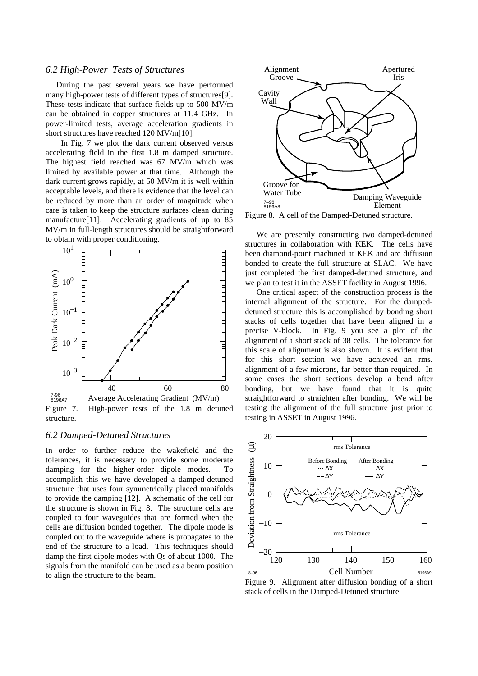## *6.2 High-Power Tests of Structures*

During the past several years we have performed many high-power tests of different types of structures[9]. These tests indicate that surface fields up to 500 MV/m can be obtained in copper structures at 11.4 GHz. In power-limited tests, average acceleration gradients in short structures have reached 120 MV/m[10].

 In Fig. 7 we plot the dark current observed versus accelerating field in the first 1.8 m damped structure. The highest field reached was 67 MV/m which was limited by available power at that time. Although the dark current grows rapidly, at 50 MV/m it is well within acceptable levels, and there is evidence that the level can be reduced by more than an order of magnitude when care is taken to keep the structure surfaces clean during manufacture<sup>[11]</sup>. Accelerating gradients of up to 85 MV/m in full-length structures should be straightforward to obtain with proper conditioning.



Figure 7. High-power tests of the 1.8 m detuned structure.

#### *6.2 Damped-Detuned Structures*

In order to further reduce the wakefield and the tolerances, it is necessary to provide some moderate damping for the higher-order dipole modes. To accomplish this we have developed a damped-detuned structure that uses four symmetrically placed manifolds to provide the damping [12]. A schematic of the cell for the structure is shown in Fig. 8. The structure cells are coupled to four waveguides that are formed when the cells are diffusion bonded together. The dipole mode is coupled out to the waveguide where is propagates to the end of the structure to a load. This techniques should damp the first dipole modes with Qs of about 1000. The signals from the manifold can be used as a beam position to align the structure to the beam.



Figure 8. A cell of the Damped-Detuned structure.

We are presently constructing two damped-detuned structures in collaboration with KEK. The cells have been diamond-point machined at KEK and are diffusion bonded to create the full structure at SLAC. We have just completed the first damped-detuned structure, and we plan to test it in the ASSET facility in August 1996.

One critical aspect of the construction process is the internal alignment of the structure. For the dampeddetuned structure this is accomplished by bonding short stacks of cells together that have been aligned in a precise V-block. In Fig. 9 you see a plot of the alignment of a short stack of 38 cells. The tolerance for this scale of alignment is also shown. It is evident that for this short section we have achieved an rms. alignment of a few microns, far better than required. In some cases the short sections develop a bend after bonding, but we have found that it is quite straightforward to straighten after bonding. We will be testing the alignment of the full structure just prior to testing in ASSET in August 1996.



Figure 9. Alignment after diffusion bonding of a short stack of cells in the Damped-Detuned structure.